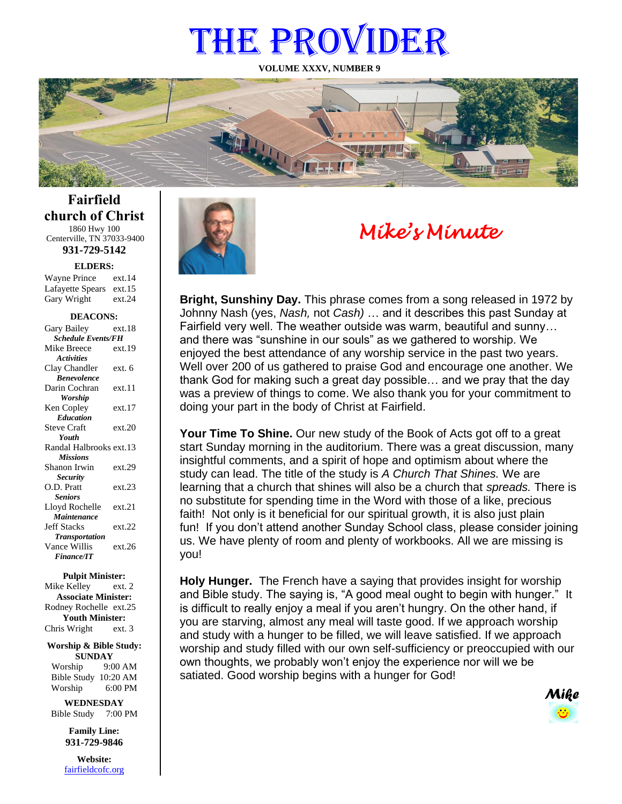# THE PROVIDER

**VOLUME XXXV, NUMBER 9**



**Fairfield church of Christ** 1860 Hwy 100 Centerville, TN 37033-9400

**931-729-5142**

**ELDERS:**

Gary Wright ext.24 Wayne Prince ext.14 Lafayette Spears ext.15

#### **DEACONS:**

| Gary Bailey               | ext.18 |  |
|---------------------------|--------|--|
| <b>Schedule Events/FH</b> |        |  |
| Mike Breece               | ext.19 |  |
| <b>Activities</b>         |        |  |
| Clay Chandler             | ext. 6 |  |
| <b>Benevolence</b>        |        |  |
| Darin Cochran             | ext.11 |  |
| <b>Worship</b>            |        |  |
| Ken Copley                | ext.17 |  |
| <b>Education</b>          |        |  |
| <b>Steve Craft</b>        | ext.20 |  |
| Youth                     |        |  |
| Randal Halbrooks ext.13   |        |  |
| <b>Missions</b>           |        |  |
| Shanon Irwin              | ext.29 |  |
| <b>Security</b>           |        |  |
| O.D. Pratt                | ext.23 |  |
| <b>Seniors</b>            |        |  |
| Lloyd Rochelle            | ext.21 |  |
| Maintenance               |        |  |
| <b>Jeff Stacks</b>        | ext.22 |  |
| <b>Transportation</b>     |        |  |
| Vance Willis              | ext.26 |  |
| <b>Finance/IT</b>         |        |  |
|                           |        |  |

#### **Pulpit Minister:**

Mike Kelley ext. 2 **Associate Minister:** Rodney Rochelle ext.25 **Youth Minister:** Chris Wright ext. 3

#### **Worship & Bible Study: SUNDAY**

Worship 9:00 AM Bible Study 10:20 AM Worship 6:00 PM

**WEDNESDAY** Bible Study 7:00 PM

> **Family Line: 931-729-9846**

**Website:** [fairfieldcofc.org](file:///C:/Users/RickJoyce/Documents/Fairfield%20Website%20Files/fairfieldchurchofchrist.org)



# *Mike's Minute*

**Bright, Sunshiny Day.** This phrase comes from a song released in 1972 by Johnny Nash (yes, *Nash,* not *Cash)* … and it describes this past Sunday at Fairfield very well. The weather outside was warm, beautiful and sunny… and there was "sunshine in our souls" as we gathered to worship. We enjoyed the best attendance of any worship service in the past two years. Well over 200 of us gathered to praise God and encourage one another. We thank God for making such a great day possible… and we pray that the day was a preview of things to come. We also thank you for your commitment to doing your part in the body of Christ at Fairfield.

**Your Time To Shine.** Our new study of the Book of Acts got off to a great start Sunday morning in the auditorium. There was a great discussion, many insightful comments, and a spirit of hope and optimism about where the study can lead. The title of the study is *A Church That Shines.* We are learning that a church that shines will also be a church that *spreads.* There is no substitute for spending time in the Word with those of a like, precious faith! Not only is it beneficial for our spiritual growth, it is also just plain fun! If you don't attend another Sunday School class, please consider joining us. We have plenty of room and plenty of workbooks. All we are missing is you!

**Holy Hunger.** The French have a saying that provides insight for worship and Bible study. The saying is, "A good meal ought to begin with hunger." It is difficult to really enjoy a meal if you aren't hungry. On the other hand, if you are starving, almost any meal will taste good. If we approach worship and study with a hunger to be filled, we will leave satisfied. If we approach worship and study filled with our own self-sufficiency or preoccupied with our own thoughts, we probably won't enjoy the experience nor will we be satiated. Good worship begins with a hunger for God!

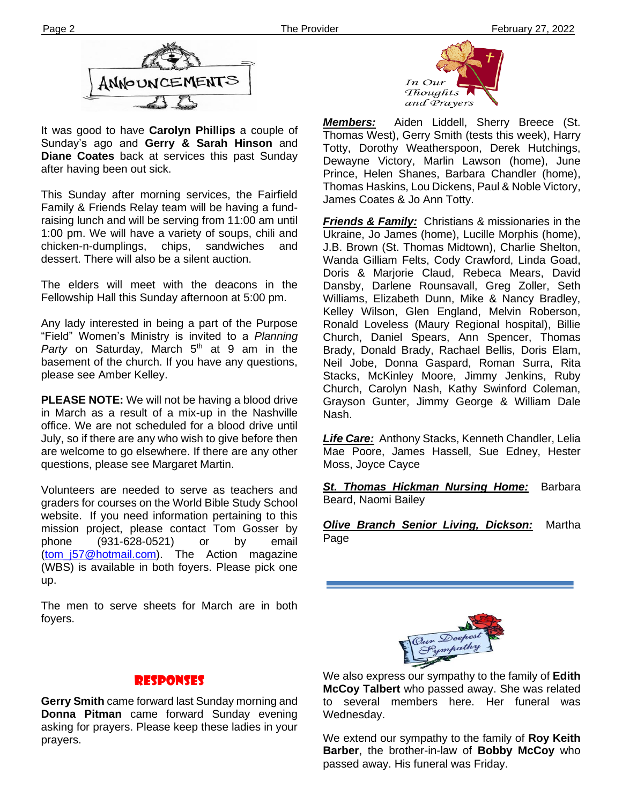

It was good to have **Carolyn Phillips** a couple of Sunday's ago and **Gerry & Sarah Hinson** and **Diane Coates** back at services this past Sunday after having been out sick.

Family & Friends Relay team will be having a fund-This Sunday after morning services, the Fairfield raising lunch and will be serving from 11:00 am until 1:00 pm. We will have a variety of soups, chili and chicken-n-dumplings, chips, sandwiches and dessert. There will also be a silent auction.

The elders will meet with the deacons in the Fellowship Hall this Sunday afternoon at 5:00 pm.

Any lady interested in being a part of the Purpose "Field" Women's Ministry is invited to a *Planning*  Party on Saturday, March 5<sup>th</sup> at 9 am in the basement of the church. If you have any questions, please see Amber Kelley.

**PLEASE NOTE:** We will not be having a blood drive in March as a result of a mix-up in the Nashville office. We are not scheduled for a blood drive until July, so if there are any who wish to give before then are welcome to go elsewhere. If there are any other questions, please see Margaret Martin.

**filem** Volunteers are needed to serve as teachers and graders for courses on the World Bible Study School website. If you need information pertaining to this mission project, please contact Tom Gosser by phone (931-628-0521) or by email [\(tom\\_j57@hotmail.com\)](mailto:tom_j57@hotmail.com). The Action magazine (WBS) is available in both foyers. Please pick one up.

The men to serve sheets for March are in both foyers.



*Members:* Aiden Liddell, Sherry Breece (St. Thomas West), Gerry Smith (tests this week), Harry Totty, Dorothy Weatherspoon, Derek Hutchings, Dewayne Victory, Marlin Lawson (home), June Prince, Helen Shanes, Barbara Chandler (home), Thomas Haskins, Lou Dickens, Paul & Noble Victory, James Coates & Jo Ann Totty.

*Friends & Family:* Christians & missionaries in the Ukraine, Jo James (home), Lucille Morphis (home), J.B. Brown (St. Thomas Midtown), Charlie Shelton, Wanda Gilliam Felts, Cody Crawford, Linda Goad, Doris & Marjorie Claud, Rebeca Mears, David Dansby, Darlene Rounsavall, Greg Zoller, Seth Williams, Elizabeth Dunn, Mike & Nancy Bradley, Kelley Wilson, Glen England, Melvin Roberson, Ronald Loveless (Maury Regional hospital), Billie Church, Daniel Spears, Ann Spencer, Thomas Brady, Donald Brady, Rachael Bellis, Doris Elam, Neil Jobe, Donna Gaspard, Roman Surra, Rita Stacks, McKinley Moore, Jimmy Jenkins, Ruby Church, Carolyn Nash, Kathy Swinford Coleman, Grayson Gunter, Jimmy George & William Dale Nash.

*Life Care:* Anthony Stacks, Kenneth Chandler, Lelia Mae Poore, James Hassell, Sue Edney, Hester Moss, Joyce Cayce

*St. Thomas Hickman Nursing Home:* Barbara Beard, Naomi Bailey

*Olive Branch Senior Living, Dickson:* Martha Page



#### We also express our sympathy to the family of **Edith McCoy Talbert** who passed away. She was related to several members here. Her funeral was Wednesday.

We extend our sympathy to the family of **Roy Keith Barber**, the brother-in-law of **Bobby McCoy** who passed away. His funeral was Friday.

# Responses

**Gerry Smith** came forward last Sunday morning and **Donna Pitman** came forward Sunday evening asking for prayers. Please keep these ladies in your prayers.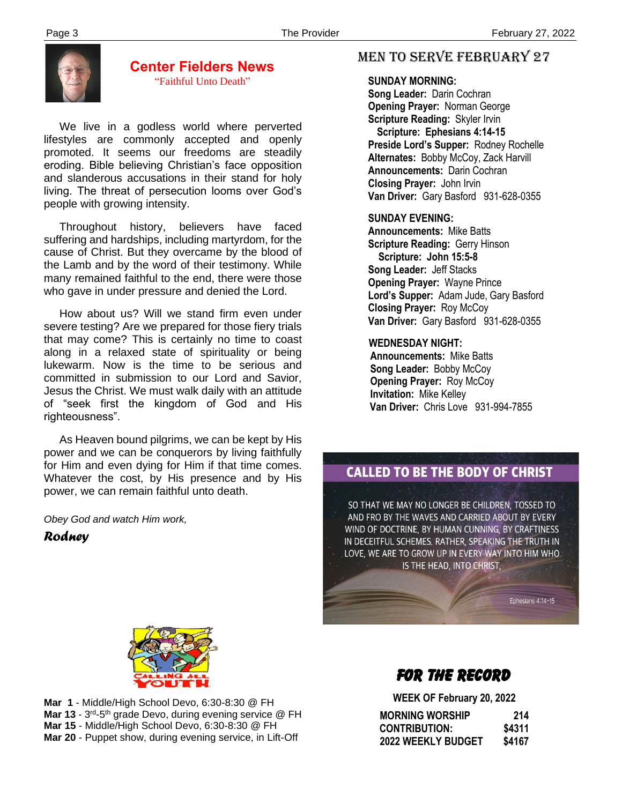

### **Center Fielders News** "Faithful Unto Death"

 We live in a godless world where perverted lifestyles are commonly accepted and openly promoted. It seems our freedoms are steadily eroding. Bible believing Christian's face opposition and slanderous accusations in their stand for holy living. The threat of persecution looms over God's people with growing intensity.

 Throughout history, believers have faced suffering and hardships, including martyrdom, for the cause of Christ. But they overcame by the blood of the Lamb and by the word of their testimony. While many remained faithful to the end, there were those who gave in under pressure and denied the Lord.

 How about us? Will we stand firm even under severe testing? Are we prepared for those fiery trials that may come? This is certainly no time to coast along in a relaxed state of spirituality or being lukewarm. Now is the time to be serious and committed in submission to our Lord and Savior, Jesus the Christ. We must walk daily with an attitude of "seek first the kingdom of God and His righteousness".

 As Heaven bound pilgrims, we can be kept by His power and we can be conquerors by living faithfully for Him and even dying for Him if that time comes. Whatever the cost, by His presence and by His power, we can remain faithful unto death.

*Obey God and watch Him work,*

*Rodney*

# MEN TO SERVE February 27

#### **SUNDAY MORNING:**

**Song Leader:** Darin Cochran  **Opening Prayer:** Norman George **Scripture Reading:** Skyler Irvin  **Scripture: Ephesians 4:14-15 Preside Lord's Supper:** Rodney Rochelle  **Alternates:** Bobby McCoy, Zack Harvill  **Announcements:** Darin Cochran  **Closing Prayer:** John Irvin **Van Driver:** Gary Basford 931-628-0355

#### **SUNDAY EVENING:**

**Announcements:** Mike Batts **Scripture Reading:** Gerry Hinson  **Scripture: John 15:5-8 Song Leader:** Jeff Stacks **Opening Prayer:** Wayne Prince **Lord's Supper:** Adam Jude, Gary Basford **Closing Prayer:** Roy McCoy **Van Driver:** Gary Basford 931-628-0355

#### **WEDNESDAY NIGHT:**

**Announcements:** Mike Batts **Song Leader:** Bobby McCoy **Opening Prayer:** Roy McCoy **Invitation:** Mike Kelley  **Van Driver:** Chris Love 931-994-7855

# **CALLED TO BE THE BODY OF CHRIST**

SO THAT WE MAY NO LONGER BE CHILDREN, TOSSED TO AND FRO BY THE WAVES AND CARRIED ABOUT BY EVERY WIND OF DOCTRINE, BY HUMAN CUNNING, BY CRAFTINESS IN DECEITFUL SCHEMES. RATHER, SPEAKING THE TRUTH IN LOVE, WE ARE TO GROW UP IN EVERY WAY INTO HIM WHO IS THE HEAD, INTO CHRIST,

Ephesians 4:14-15



 **Mar 15** - Middle/High School Devo, 6:30-8:30 @ FH **Mar 1** - Middle/High School Devo, 6:30-8:30 @ FH **Mar 13** - 3<sup>rd</sup>-5<sup>th</sup> grade Devo, during evening service @ FH **Mar 20** - Puppet show, during evening service, in Lift-Off

# FOR THE RECORD

 **WEEK OF February 20, 2022**

| <b>MORNING WORSHIP</b>    | 214    |
|---------------------------|--------|
| <b>CONTRIBUTION:</b>      | \$4311 |
| <b>2022 WEEKLY BUDGET</b> | \$4167 |